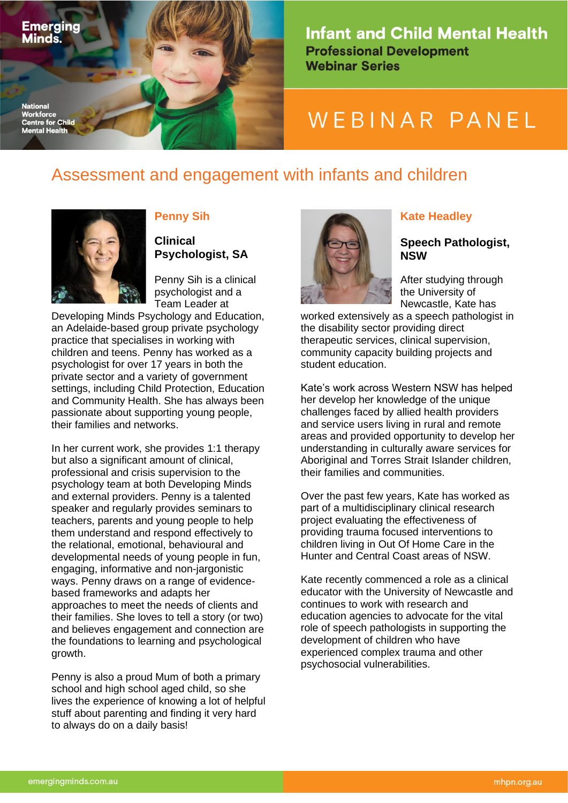

**Infant and Child Mental Health Professional Development Webinar Series** 

# WEBINAR PANEL

## Assessment and engagement with infants and children



Minds.

Workforce

#### **Penny Sih**

**Clinical Psychologist, SA**

Penny Sih is a clinical psychologist and a Team Leader at

Developing Minds Psychology and Education, an Adelaide-based group private psychology practice that specialises in working with children and teens. Penny has worked as a psychologist for over 17 years in both the private sector and a variety of government settings, including Child Protection, Education and Community Health. She has always been passionate about supporting young people, their families and networks.

In her current work, she provides 1:1 therapy but also a significant amount of clinical, professional and crisis supervision to the psychology team at both Developing Minds and external providers. Penny is a talented speaker and regularly provides seminars to teachers, parents and young people to help them understand and respond effectively to the relational, emotional, behavioural and developmental needs of young people in fun, engaging, informative and non-jargonistic ways. Penny draws on a range of evidencebased frameworks and adapts her approaches to meet the needs of clients and their families. She loves to tell a story (or two) and believes engagement and connection are the foundations to learning and psychological growth.

Penny is also a proud Mum of both a primary school and high school aged child, so she lives the experience of knowing a lot of helpful stuff about parenting and finding it very hard to always do on a daily basis!



#### **Kate Headley**

#### **Speech Pathologist, NSW**

After studying through the University of Newcastle, Kate has

worked extensively as a speech pathologist in the disability sector providing direct therapeutic services, clinical supervision, community capacity building projects and student education.

Kate's work across Western NSW has helped her develop her knowledge of the unique challenges faced by allied health providers and service users living in rural and remote areas and provided opportunity to develop her understanding in culturally aware services for Aboriginal and Torres Strait Islander children, their families and communities.

Over the past few years, Kate has worked as part of a multidisciplinary clinical research project evaluating the effectiveness of providing trauma focused interventions to children living in Out Of Home Care in the Hunter and Central Coast areas of NSW.

Kate recently commenced a role as a clinical educator with the University of Newcastle and continues to work with research and education agencies to advocate for the vital role of speech pathologists in supporting the development of children who have experienced complex trauma and other psychosocial vulnerabilities.